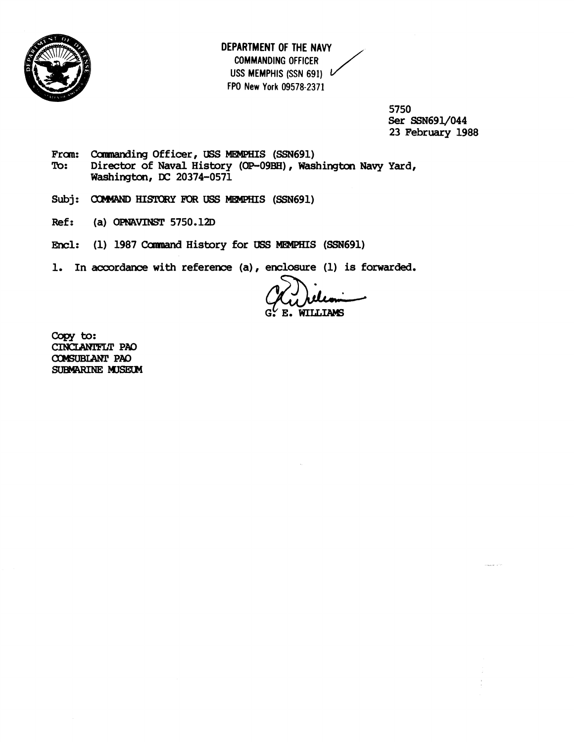

**DEPARTMENT OF THE NAVY COMMANDING OFFICER USS MEMPHIS (SSN 691) FPO New York 09578-2371**  J<br>J

> **5750**  Ser **SSN691J044 23 February 1988**

- From: Commanding Officer, USS MEMPHIS (SSN691)<br>To: Director of Naval History (OP-09BH), Was Director of Naval History (OP-09BH), Washington Navy Yard, **Washington, DC 20374-0571**
- Subj: COMMAND HISTORY FOR USS MEMPHIS (SSN691)
- **Ref: (a)** OPNAVINST **5750.12D**
- Encl: (1) 1987 Command History for USS **MEMPHIS** (SSN691)
- 1. In accordance with reference (a), enclosure (1) is forwarded.

**WILLIAMS**  $E_{\bullet}$ 

Copy to: CINCLANIFLT PAO cnmBLhm **PA0 SUBMARINE MUSEUM**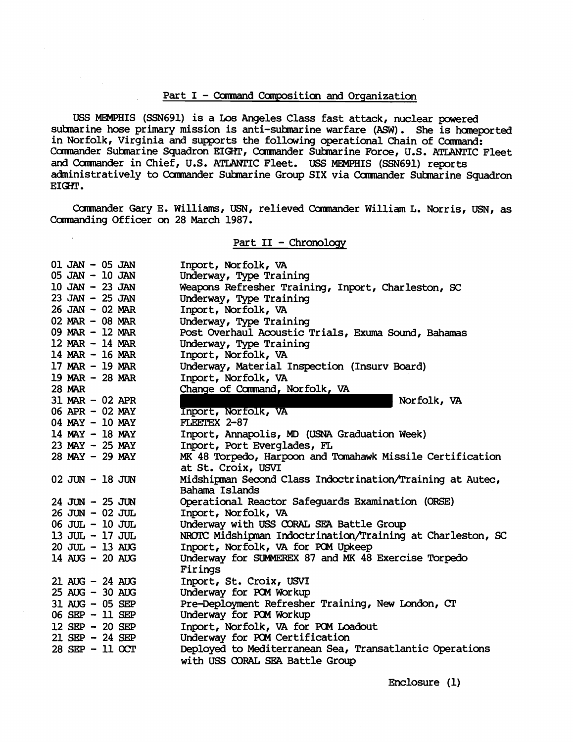## Part I - **Cannand** Canposition and Orqanization

USS MEMPHIS (SSN691) is a Los Angeles Class fast attack, nuclear powered submarine hose primary mission is anti-submarine warfare (ASW). She is homeported in Norfolk, Virginia and supports the following operational Chain of Command: Carmander Sulrnarine Squadron EIGHT, Camrander Suhnarine Force, U.S. ATLANTIC Fleet and Commander in Chief, U.S. ATLANTIC Fleet. USS MEMPHIS (SSN691) reports administratively to Commander Submarine Group SIX via Commander Submarine Squadron<br>EIGHT.

Camrander Gary E. Williams, LEN, relieved camander William L. Norris, **USN,** as Commanding Officer on 28 March 1987.

## Part **I1** - Chronoloqy

| $01$ JAN $-$ 05 JAN | Inport, Norfolk, VA                                        |
|---------------------|------------------------------------------------------------|
| 05 JAN - 10 JAN     | Underway, Type Training                                    |
| $10$ JAN $-$ 23 JAN | Weapons Refresher Training, Inport, Charleston, SC         |
| 23 JAN - 25 JAN     | Underway, Type Training                                    |
| $26$ JAN $-$ 02 MAR | Inport, Norfolk, VA                                        |
| $02$ MAR $-$ 08 MAR | Underway, Type Training                                    |
| 09 MAR - 12 MAR     | Post Overhaul Acoustic Trials, Exuma Sound, Bahamas        |
| $12$ MAR - 14 MAR   | Underway, Type Training                                    |
| 14 MAR $-$ 16 MAR   | Inport, Norfolk, VA                                        |
| 17 MAR $-$ 19 MAR   | Underway, Material Inspection (Insurv Board)               |
| 19 MAR $-$ 28 MAR   | Inport, Norfolk, VA                                        |
| <b>28 MAR</b>       | Change of Command, Norfolk, VA                             |
| $31$ MAR - 02 APR   | Norfolk, VA                                                |
| 06 APR - 02 MAY     | Inport, Norfolk, VA                                        |
| 04 MAY - 10 MAY     | FLEETEX 2-87                                               |
| $14$ MAY - 18 MAY   | Inport, Annapolis, MD (USNA Graduation Week)               |
| 23 MAY - 25 MAY     | Inport, Port Everglades, FL                                |
| $28$ MAY $-$ 29 MAY | MK 48 Torpedo, Harpoon and Tomahawk Missile Certification  |
|                     | at St. Croix, USVI                                         |
| $02$ JUN $-$ 18 JUN | Midshipman Second Class Indoctrination/Training at Autec,  |
|                     | Bahama Islands                                             |
| $24$ JUN $-$ 25 JUN | Operational Reactor Safeguards Examination (ORSE)          |
| $26$ JUN $-$ 02 JUL | Inport, Norfolk, VA                                        |
| $06$ JUL $-10$ JUL  | Underway with USS CORAL SEA Battle Group                   |
| 13 JUL - 17 JUL     | NROTC Midshipman Indoctrination/Training at Charleston, SC |
| 20 JUL - 13 AUG     | Inport, Norfolk, VA for POM Upkeep                         |
| 14 AUG - 20 AUG     | Underway for SUMMEREX 87 and MK 48 Exercise Torpedo        |
|                     | Firings                                                    |
| $21$ AUG $-24$ AUG  | Inport, St. Croix, USVI                                    |
| $25$ AUG $-30$ AUG  | Underway for POM Workup                                    |
| 31 AUG - 05 SEP     | Pre-Deployment Refresher Training, New London, CT          |
| 06 SEP - 11 SEP     | Underway for POM Workup                                    |
| $12$ SEP - 20 SEP   | Inport, Norfolk, VA for POM Loadout                        |
| $21$ SEP - 24 SEP   | Underway for POM Certification                             |
| 28 SEP - 11 OCT     | Deployed to Mediterranean Sea, Transatlantic Operations    |
|                     | with USS CORAL SEA Battle Group                            |
|                     |                                                            |